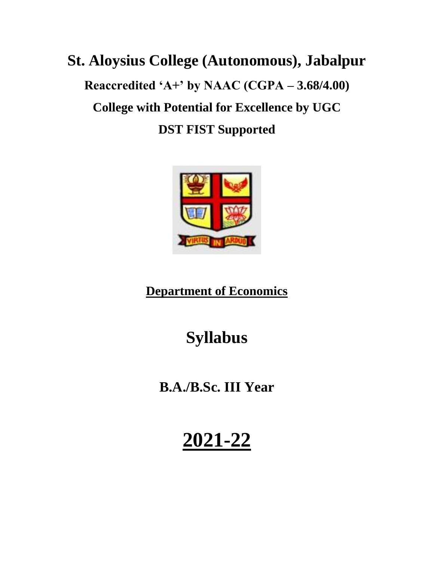# **St. Aloysius College (Autonomous), Jabalpur Reaccredited 'A+' by NAAC (CGPA – 3.68/4.00) College with Potential for Excellence by UGC DST FIST Supported**



**Department of Economics**

## **Syllabus**

**B.A./B.Sc. III Year**

# **2021-22**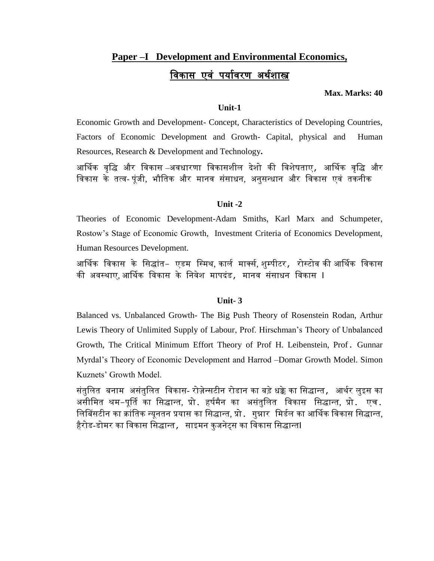### **Paper –I Development and Environmental Economics,**  <u>विकास एवं पर्यावरण अर्थशास्त्र</u>

#### **Max. Marks: 40**

#### **Unit-1**

Economic Growth and Development- Concept, Characteristics of Developing Countries, Factors of Economic Development and Growth- Capital, physical and Human Resources, Research & Development and Technology**.**

आर्थिक वृद्धि और विकास –अवधारणा विकासशील देशो की विशेषताए, आर्थिक वृद्धि और विकास के तत्ि- पूंजी, भौवतक और मानि संसाधन, अनुसन्धान और विकास एिं तकनीक

#### **Unit -2**

Theories of Economic Development-Adam Smiths, Karl Marx and Schumpeter, Rostow's Stage of Economic Growth, Investment Criteria of Economics Development, Human Resources Development.

आर्थिक विकास के सिद्धांत– एडम स्मिथ, कार्ल मार्क्स, शुम्पीटर*,* रोस्टोव की आर्थिक विकास की अवस्थाए, आर्थिक विकास के निवेश मापदंड*,* मानव संसाधन विकास I

#### **Unit- 3**

Balanced vs. Unbalanced Growth- The Big Push Theory of Rosenstein Rodan, Arthur Lewis Theory of Unlimited Supply of Labour, Prof. Hirschman's Theory of Unbalanced Growth, The Critical Minimum Effort Theory of Prof H. Leibenstein, Prof. Gunnar Myrdal's Theory of Economic Development and Harrod –Domar Growth Model. Simon Kuznets' Growth Model.

संतुलित बनाम असंतुलित विकास- रोज़ेन्सटीन रोडान का बड़े धक्के का सिद्धान्त*,* आर्थर लुइस का असीमित श्रम-पूर्ति का सिद्धान्त, प्रो. हर्षमैन का असंतुलित विकास सिद्धान्त, प्रो. एच. लिबिंसटीन का क्रांतिक न्यूनतन प्रयास का सिद्धान्त, प्रो. गुन्नार मिर्डल का आर्थिक विकास सिद्धान्त, हैरोड-डोमर का विकास सिद्धान्त , साइमन कुजनेट्स का विकास सिद्धान्तl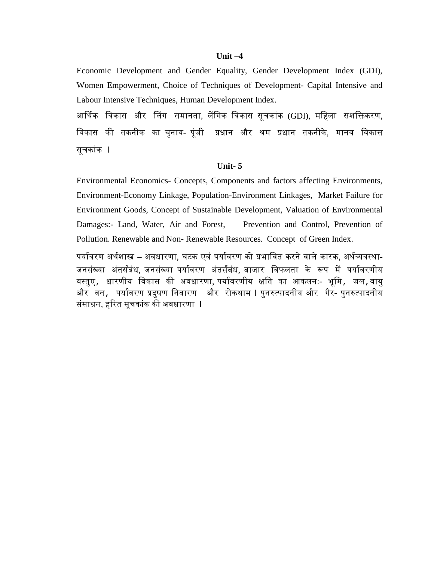#### **Unit –4**

Economic Development and Gender Equality, Gender Development Index (GDI), Women Empowerment, Choice of Techniques of Development- Capital Intensive and Labour Intensive Techniques, Human Development Index.

आर्थिक विकास और लिंग समानता, लेंगिक विकास सूचकांक (GDI), महिला सशक्तिकरण, विकास की तकनीक का चुनाव- पूंजी प्रधान और श्रम प्रधान तकनीके, मानव विकास सूचकांक I

#### **Unit- 5**

Environmental Economics- Concepts, Components and factors affecting Environments, Environment-Economy Linkage, Population-Environment Linkages, Market Failure for Environment Goods, Concept of Sustainable Development, Valuation of Environmental Damages:- Land, Water, Air and Forest, Prevention and Control, Prevention of Pollution. Renewable and Non- Renewable Resources. Concept of Green Index.

पर्यावरण अर्थशास्त्र – अवधारणा, घटक एवं पर्यावरण को प्रभावित करने वाले कारक, अर्थव्यवस्था-जनसंख्या अंतर्संबंध, जनसंख्या पर्यावरण अंतर्संबंध, बाजार विफलता के रूप में पर्यावरणीय वस्तुए, धारणीय विकास की अवधारणा, पर्यावरणीय क्षति का आकलन:- भूमि, जल,वायु और वन*,* पर्यावरण प्रदुषण निवारण और रोकथाम I पुनरुत्पादनीय और गैर- पुनरुत्पादनीय संसाधन, हरित सूचकांक की अवधारणा **I**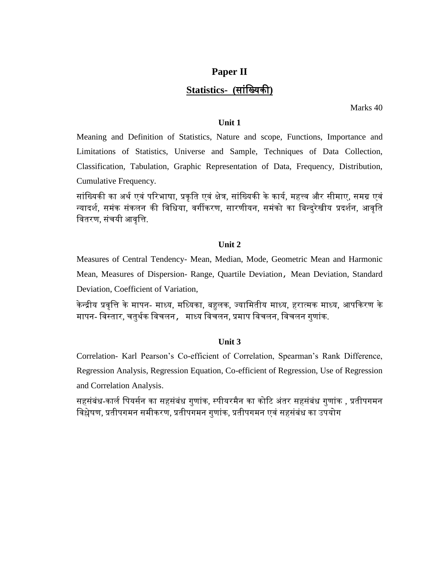### **Paper II Statistics- (**सांवख्यकी**)**

Marks 40

#### **Unit 1**

Meaning and Definition of Statistics, Nature and scope, Functions, Importance and Limitations of Statistics, Universe and Sample, Techniques of Data Collection, Classification, Tabulation, Graphic Representation of Data, Frequency, Distribution, Cumulative Frequency.

सांख्यिकी का अर्थ एवं परिभाषा, प्रकृति एवं क्षेत्र, सांख्यिकी के कार्य, महत्त्व और सीमाए, समग्र एवं न्यादर्श, समंक संकलन की विधिया, वर्गीकरण, सारणीयन, समंको का बिन्दुरेखीय प्रदर्शन, आवृति वितरण, संचयी आिृवि.

#### **Unit 2**

Measures of Central Tendency- Mean, Median, Mode, Geometric Mean and Harmonic Mean, Measures of Dispersion- Range, Quartile Deviation, Mean Deviation, Standard Deviation, Coefficient of Variation,

केन्द्रीय प्रवृत्ति के मापन- माध्य, मध्यिका, बहुलक, ज्यामितीय माध्य, हरात्मक माध्य, आपकिरण के मापन- विस्तार, चतुर्थक विचलन, माध्य विचलन, प्रमाप विचलन, विचलन गुणांक.

#### **Unit 3**

Correlation- Karl Pearson's Co-efficient of Correlation, Spearman's Rank Difference, Regression Analysis, Regression Equation, Co-efficient of Regression, Use of Regression and Correlation Analysis.

सहसंबंध-कार्ल पियर्सन का सहसंबंध गुणांक, स्पीयरमैन का कोटि अंतर सहसंबंध गुणांक , प्रतीपगमन विश्लेषण, प्रतीपगमन समीकरण, प्रतीपगमन गुणांक, प्रतीपगमन एिं सहसंबंध का उपयोग